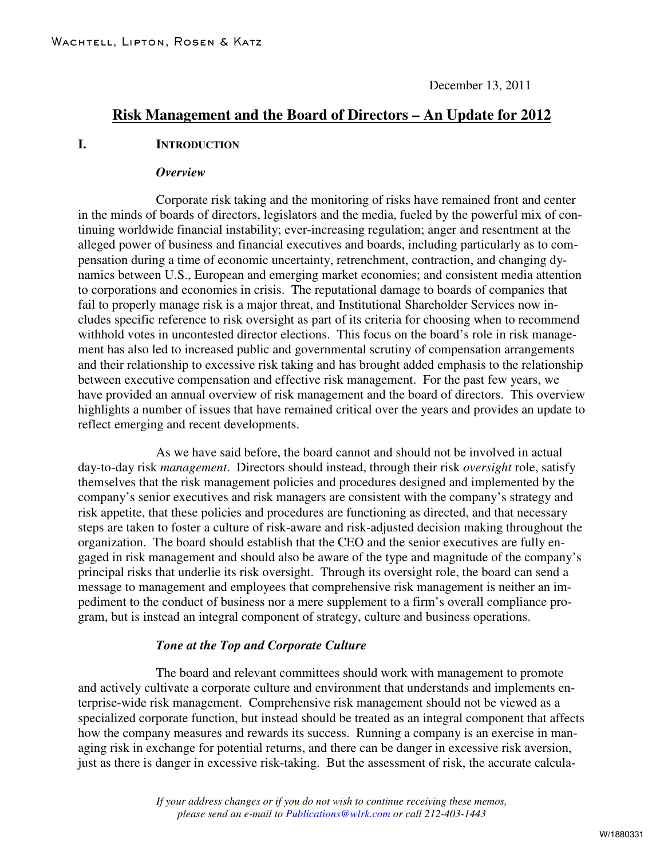# **Risk Management and the Board of Directors – An Update for 2012**

### **I. INTRODUCTION**

#### *Overview*

Corporate risk taking and the monitoring of risks have remained front and center in the minds of boards of directors, legislators and the media, fueled by the powerful mix of continuing worldwide financial instability; ever-increasing regulation; anger and resentment at the alleged power of business and financial executives and boards, including particularly as to compensation during a time of economic uncertainty, retrenchment, contraction, and changing dynamics between U.S., European and emerging market economies; and consistent media attention to corporations and economies in crisis. The reputational damage to boards of companies that fail to properly manage risk is a major threat, and Institutional Shareholder Services now includes specific reference to risk oversight as part of its criteria for choosing when to recommend withhold votes in uncontested director elections. This focus on the board's role in risk management has also led to increased public and governmental scrutiny of compensation arrangements and their relationship to excessive risk taking and has brought added emphasis to the relationship between executive compensation and effective risk management. For the past few years, we have provided an annual overview of risk management and the board of directors. This overview highlights a number of issues that have remained critical over the years and provides an update to reflect emerging and recent developments.

As we have said before, the board cannot and should not be involved in actual day-to-day risk *management*. Directors should instead, through their risk *oversight* role, satisfy themselves that the risk management policies and procedures designed and implemented by the company's senior executives and risk managers are consistent with the company's strategy and risk appetite, that these policies and procedures are functioning as directed, and that necessary steps are taken to foster a culture of risk-aware and risk-adjusted decision making throughout the organization. The board should establish that the CEO and the senior executives are fully engaged in risk management and should also be aware of the type and magnitude of the company's principal risks that underlie its risk oversight. Through its oversight role, the board can send a message to management and employees that comprehensive risk management is neither an impediment to the conduct of business nor a mere supplement to a firm's overall compliance program, but is instead an integral component of strategy, culture and business operations.

### *Tone at the Top and Corporate Culture*

The board and relevant committees should work with management to promote and actively cultivate a corporate culture and environment that understands and implements enterprise-wide risk management. Comprehensive risk management should not be viewed as a specialized corporate function, but instead should be treated as an integral component that affects how the company measures and rewards its success. Running a company is an exercise in managing risk in exchange for potential returns, and there can be danger in excessive risk aversion, just as there is danger in excessive risk-taking. But the assessment of risk, the accurate calcula-

> *If your address changes or if you do not wish to continue receiving these memos, please send an e-mail to Publications@wlrk.com or call 212-403-1443*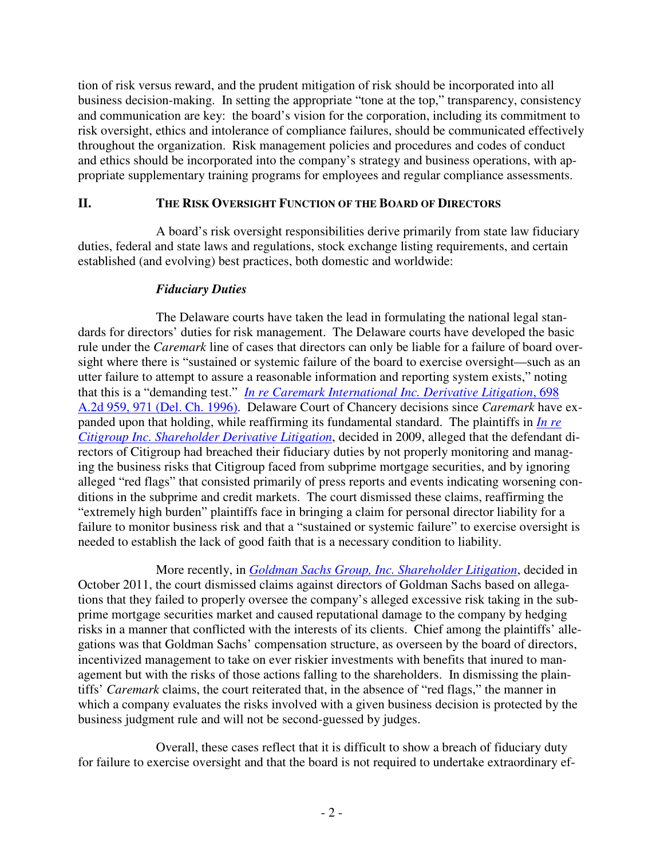tion of risk versus reward, and the prudent mitigation of risk should be incorporated into all business decision-making. In setting the appropriate "tone at the top," transparency, consistency and communication are key: the board's vision for the corporation, including its commitment to risk oversight, ethics and intolerance of compliance failures, should be communicated effectively throughout the organization. Risk management policies and procedures and codes of conduct and ethics should be incorporated into the company's strategy and business operations, with appropriate supplementary training programs for employees and regular compliance assessments.

### **II. THE RISK OVERSIGHT FUNCTION OF THE BOARD OF DIRECTORS**

A board's risk oversight responsibilities derive primarily from state law fiduciary duties, federal and state laws and regulations, stock exchange listing requirements, and certain established (and evolving) best practices, both domestic and worldwide:

### *Fiduciary Duties*

The Delaware courts have taken the lead in formulating the national legal standards for directors' duties for risk management. The Delaware courts have developed the basic rule under the *Caremark* line of cases that directors can only be liable for a failure of board oversight where there is "sustained or systemic failure of the board to exercise oversight—such as an utter failure to attempt to assure a reasonable information and reporting system exists," noting that this is a "demanding test." *In re Caremark [International](http://www.wlrk.com/docs/INRECAREMARKINTERNATIONALINCDERIVATIVELITIGATION.pdf) Inc. Derivative Litigation*, 698 A.2d 959, 971 (Del. Ch. [1996\).](http://www.wlrk.com/docs/INRECAREMARKINTERNATIONALINCDERIVATIVELITIGATION.pdf) Delaware Court of Chancery decisions since *Caremark* have expanded upon that holding, while reaffirming its fundamental standard. The plaintiffs in *In [re](http://courts.delaware.gov/opinions/download.aspx?ID=118110) Citigroup Inc. [Shareholder](http://courts.delaware.gov/opinions/download.aspx?ID=118110) Derivative Litigation*, decided in 2009, alleged that the defendant directors of Citigroup had breached their fiduciary duties by not properly monitoring and managing the business risks that Citigroup faced from subprime mortgage securities, and by ignoring alleged "red flags" that consisted primarily of press reports and events indicating worsening conditions in the subprime and credit markets. The court dismissed these claims, reaffirming the "extremely high burden" plaintiffs face in bringing a claim for personal director liability for a failure to monitor business risk and that a "sustained or systemic failure" to exercise oversight is needed to establish the lack of good faith that is a necessary condition to liability.

More recently, in *Goldman Sachs Group, Inc. [Shareholder](http://courts.delaware.gov/opinions/download.aspx?ID=161650) Litigation*, decided in October 2011, the court dismissed claims against directors of Goldman Sachs based on allegations that they failed to properly oversee the company's alleged excessive risk taking in the subprime mortgage securities market and caused reputational damage to the company by hedging risks in a manner that conflicted with the interests of its clients. Chief among the plaintiffs' allegations was that Goldman Sachs' compensation structure, as overseen by the board of directors, incentivized management to take on ever riskier investments with benefits that inured to management but with the risks of those actions falling to the shareholders. In dismissing the plaintiffs' *Caremark* claims, the court reiterated that, in the absence of "red flags," the manner in which a company evaluates the risks involved with a given business decision is protected by the business judgment rule and will not be second-guessed by judges.

Overall, these cases reflect that it is difficult to show a breach of fiduciary duty for failure to exercise oversight and that the board is not required to undertake extraordinary ef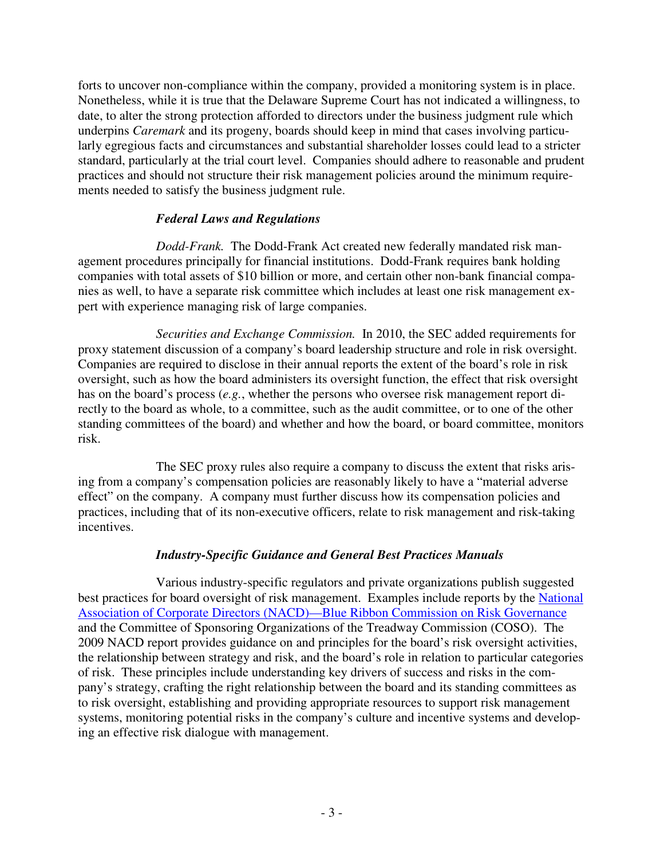forts to uncover non-compliance within the company, provided a monitoring system is in place. Nonetheless, while it is true that the Delaware Supreme Court has not indicated a willingness, to date, to alter the strong protection afforded to directors under the business judgment rule which underpins *Caremark* and its progeny, boards should keep in mind that cases involving particularly egregious facts and circumstances and substantial shareholder losses could lead to a stricter standard, particularly at the trial court level. Companies should adhere to reasonable and prudent practices and should not structure their risk management policies around the minimum requirements needed to satisfy the business judgment rule.

# *Federal Laws and Regulations*

*Dodd-Frank.* The Dodd-Frank Act created new federally mandated risk management procedures principally for financial institutions. Dodd-Frank requires bank holding companies with total assets of \$10 billion or more, and certain other non-bank financial companies as well, to have a separate risk committee which includes at least one risk management expert with experience managing risk of large companies.

*Securities and Exchange Commission.* In 2010, the SEC added requirements for proxy statement discussion of a company's board leadership structure and role in risk oversight. Companies are required to disclose in their annual reports the extent of the board's role in risk oversight, such as how the board administers its oversight function, the effect that risk oversight has on the board's process (*e.g.*, whether the persons who oversee risk management report directly to the board as whole, to a committee, such as the audit committee, or to one of the other standing committees of the board) and whether and how the board, or board committee, monitors risk.

The SEC proxy rules also require a company to discuss the extent that risks arising from a company's compensation policies are reasonably likely to have a "material adverse effect" on the company. A company must further discuss how its compensation policies and practices, including that of its non-executive officers, relate to risk management and risk-taking incentives.

# *Industry-Specific Guidance and General Best Practices Manuals*

Various industry-specific regulators and private organizations publish suggested best practices for board oversight of risk management. Examples include reports by the [National](http://www.nacdonline.org/Resources/Interview.cfm?ItemNumber=2263) Association of Corporate Directors [\(NACD\)—Blue](http://www.nacdonline.org/Resources/Interview.cfm?ItemNumber=2263) Ribbon Commission on Risk Governance and the Committee of Sponsoring Organizations of the Treadway Commission (COSO). The 2009 NACD report provides guidance on and principles for the board's risk oversight activities, the relationship between strategy and risk, and the board's role in relation to particular categories of risk. These principles include understanding key drivers of success and risks in the company's strategy, crafting the right relationship between the board and its standing committees as to risk oversight, establishing and providing appropriate resources to support risk management systems, monitoring potential risks in the company's culture and incentive systems and developing an effective risk dialogue with management.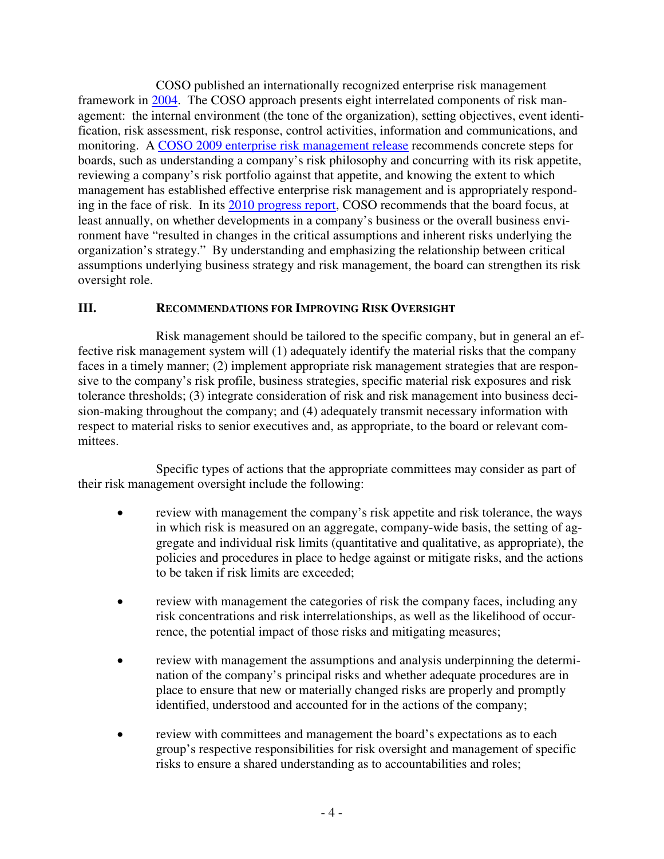COSO published an internationally recognized enterprise risk management framework in [2004](http://www.coso.org/documents/COSO_ERM_ExecutiveSummary.pdf). The COSO approach presents eight interrelated components of risk management: the internal environment (the tone of the organization), setting objectives, event identification, risk assessment, risk response, control activities, information and communications, and monitoring. A COSO 2009 enterprise risk [management](http://www.coso.org/documents/COSOBoardsERM4pager-FINALRELEASEVERSION82409_001.pdf) release recommends concrete steps for boards, such as understanding a company's risk philosophy and concurring with its risk appetite, reviewing a company's risk portfolio against that appetite, and knowing the extent to which management has established effective enterprise risk management and is appropriately responding in the face of risk. In its 2010 [progress](http://www.coso.org/documents/Board-Risk-Oversight-Survey-COSO-Protiviti_000.pdf) report, COSO recommends that the board focus, at least annually, on whether developments in a company's business or the overall business environment have "resulted in changes in the critical assumptions and inherent risks underlying the organization's strategy." By understanding and emphasizing the relationship between critical assumptions underlying business strategy and risk management, the board can strengthen its risk oversight role.

# **III. RECOMMENDATIONS FOR IMPROVING RISK OVERSIGHT**

Risk management should be tailored to the specific company, but in general an effective risk management system will (1) adequately identify the material risks that the company faces in a timely manner; (2) implement appropriate risk management strategies that are responsive to the company's risk profile, business strategies, specific material risk exposures and risk tolerance thresholds; (3) integrate consideration of risk and risk management into business decision-making throughout the company; and (4) adequately transmit necessary information with respect to material risks to senior executives and, as appropriate, to the board or relevant committees.

Specific types of actions that the appropriate committees may consider as part of their risk management oversight include the following:

- review with management the company's risk appetite and risk tolerance, the ways in which risk is measured on an aggregate, company-wide basis, the setting of aggregate and individual risk limits (quantitative and qualitative, as appropriate), the policies and procedures in place to hedge against or mitigate risks, and the actions to be taken if risk limits are exceeded;
- review with management the categories of risk the company faces, including any risk concentrations and risk interrelationships, as well as the likelihood of occurrence, the potential impact of those risks and mitigating measures;
- review with management the assumptions and analysis underpinning the determination of the company's principal risks and whether adequate procedures are in place to ensure that new or materially changed risks are properly and promptly identified, understood and accounted for in the actions of the company;
- review with committees and management the board's expectations as to each group's respective responsibilities for risk oversight and management of specific risks to ensure a shared understanding as to accountabilities and roles;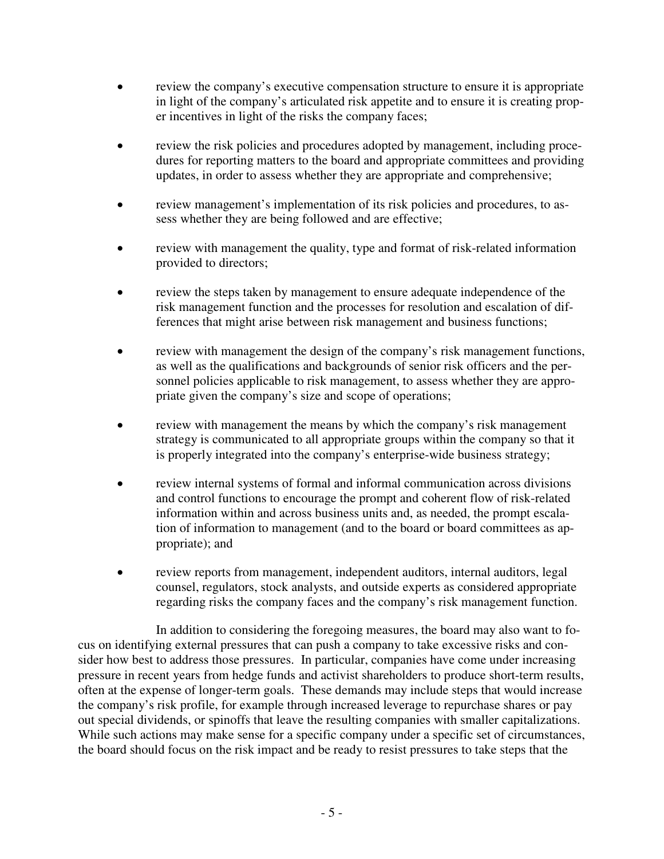- review the company's executive compensation structure to ensure it is appropriate in light of the company's articulated risk appetite and to ensure it is creating proper incentives in light of the risks the company faces;
- review the risk policies and procedures adopted by management, including procedures for reporting matters to the board and appropriate committees and providing updates, in order to assess whether they are appropriate and comprehensive;
- review management's implementation of its risk policies and procedures, to assess whether they are being followed and are effective;
- review with management the quality, type and format of risk-related information provided to directors;
- review the steps taken by management to ensure adequate independence of the risk management function and the processes for resolution and escalation of differences that might arise between risk management and business functions;
- review with management the design of the company's risk management functions, as well as the qualifications and backgrounds of senior risk officers and the personnel policies applicable to risk management, to assess whether they are appropriate given the company's size and scope of operations;
- review with management the means by which the company's risk management strategy is communicated to all appropriate groups within the company so that it is properly integrated into the company's enterprise-wide business strategy;
- review internal systems of formal and informal communication across divisions and control functions to encourage the prompt and coherent flow of risk-related information within and across business units and, as needed, the prompt escalation of information to management (and to the board or board committees as appropriate); and
- review reports from management, independent auditors, internal auditors, legal counsel, regulators, stock analysts, and outside experts as considered appropriate regarding risks the company faces and the company's risk management function.

In addition to considering the foregoing measures, the board may also want to focus on identifying external pressures that can push a company to take excessive risks and consider how best to address those pressures. In particular, companies have come under increasing pressure in recent years from hedge funds and activist shareholders to produce short-term results, often at the expense of longer-term goals. These demands may include steps that would increase the company's risk profile, for example through increased leverage to repurchase shares or pay out special dividends, or spinoffs that leave the resulting companies with smaller capitalizations. While such actions may make sense for a specific company under a specific set of circumstances, the board should focus on the risk impact and be ready to resist pressures to take steps that the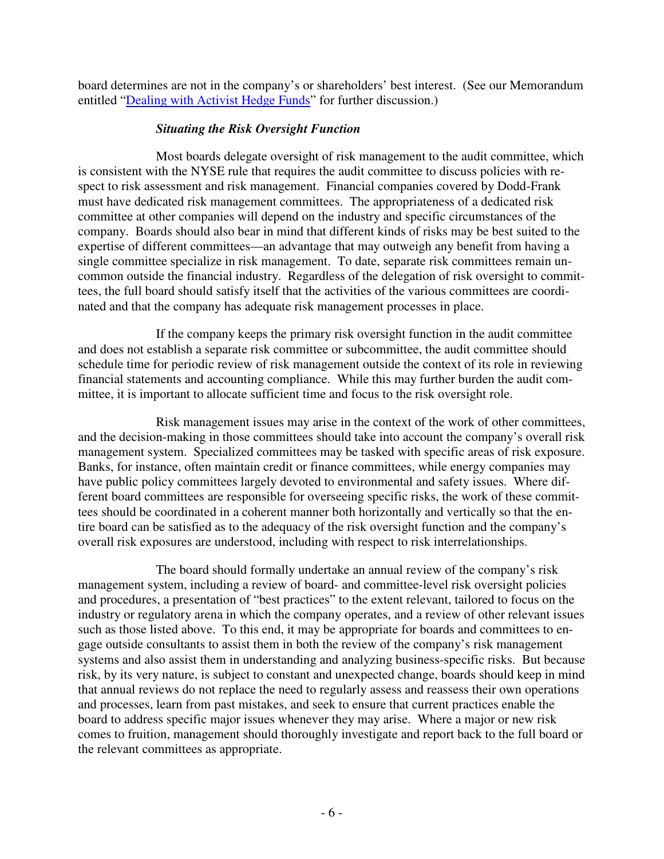board determines are not in the company's or shareholders' best interest. (See our Memorandum entitled ["Dealing](http://www.wlrk.com/webdocs/wlrknew/ClientMemos/WLRK/WLRK.13812.07.pdf) with Activist Hedge Funds" for further discussion.)

# *Situating the Risk Oversight Function*

Most boards delegate oversight of risk management to the audit committee, which is consistent with the NYSE rule that requires the audit committee to discuss policies with respect to risk assessment and risk management. Financial companies covered by Dodd-Frank must have dedicated risk management committees. The appropriateness of a dedicated risk committee at other companies will depend on the industry and specific circumstances of the company. Boards should also bear in mind that different kinds of risks may be best suited to the expertise of different committees—an advantage that may outweigh any benefit from having a single committee specialize in risk management. To date, separate risk committees remain uncommon outside the financial industry. Regardless of the delegation of risk oversight to committees, the full board should satisfy itself that the activities of the various committees are coordinated and that the company has adequate risk management processes in place.

If the company keeps the primary risk oversight function in the audit committee and does not establish a separate risk committee or subcommittee, the audit committee should schedule time for periodic review of risk management outside the context of its role in reviewing financial statements and accounting compliance. While this may further burden the audit committee, it is important to allocate sufficient time and focus to the risk oversight role.

Risk management issues may arise in the context of the work of other committees, and the decision-making in those committees should take into account the company's overall risk management system. Specialized committees may be tasked with specific areas of risk exposure. Banks, for instance, often maintain credit or finance committees, while energy companies may have public policy committees largely devoted to environmental and safety issues. Where different board committees are responsible for overseeing specific risks, the work of these committees should be coordinated in a coherent manner both horizontally and vertically so that the entire board can be satisfied as to the adequacy of the risk oversight function and the company's overall risk exposures are understood, including with respect to risk interrelationships.

The board should formally undertake an annual review of the company's risk management system, including a review of board- and committee-level risk oversight policies and procedures, a presentation of "best practices" to the extent relevant, tailored to focus on the industry or regulatory arena in which the company operates, and a review of other relevant issues such as those listed above. To this end, it may be appropriate for boards and committees to engage outside consultants to assist them in both the review of the company's risk management systems and also assist them in understanding and analyzing business-specific risks. But because risk, by its very nature, is subject to constant and unexpected change, boards should keep in mind that annual reviews do not replace the need to regularly assess and reassess their own operations and processes, learn from past mistakes, and seek to ensure that current practices enable the board to address specific major issues whenever they may arise. Where a major or new risk comes to fruition, management should thoroughly investigate and report back to the full board or the relevant committees as appropriate.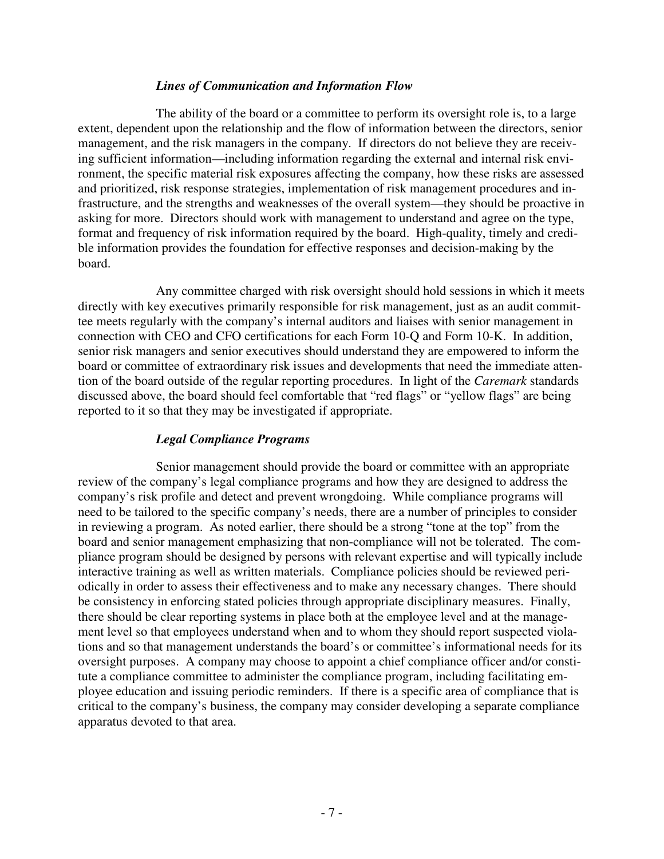### *Lines of Communication and Information Flow*

The ability of the board or a committee to perform its oversight role is, to a large extent, dependent upon the relationship and the flow of information between the directors, senior management, and the risk managers in the company. If directors do not believe they are receiving sufficient information—including information regarding the external and internal risk environment, the specific material risk exposures affecting the company, how these risks are assessed and prioritized, risk response strategies, implementation of risk management procedures and infrastructure, and the strengths and weaknesses of the overall system—they should be proactive in asking for more. Directors should work with management to understand and agree on the type, format and frequency of risk information required by the board. High-quality, timely and credible information provides the foundation for effective responses and decision-making by the board.

Any committee charged with risk oversight should hold sessions in which it meets directly with key executives primarily responsible for risk management, just as an audit committee meets regularly with the company's internal auditors and liaises with senior management in connection with CEO and CFO certifications for each Form 10-Q and Form 10-K. In addition, senior risk managers and senior executives should understand they are empowered to inform the board or committee of extraordinary risk issues and developments that need the immediate attention of the board outside of the regular reporting procedures. In light of the *Caremark* standards discussed above, the board should feel comfortable that "red flags" or "yellow flags" are being reported to it so that they may be investigated if appropriate.

## *Legal Compliance Programs*

Senior management should provide the board or committee with an appropriate review of the company's legal compliance programs and how they are designed to address the company's risk profile and detect and prevent wrongdoing. While compliance programs will need to be tailored to the specific company's needs, there are a number of principles to consider in reviewing a program. As noted earlier, there should be a strong "tone at the top" from the board and senior management emphasizing that non-compliance will not be tolerated. The compliance program should be designed by persons with relevant expertise and will typically include interactive training as well as written materials. Compliance policies should be reviewed periodically in order to assess their effectiveness and to make any necessary changes. There should be consistency in enforcing stated policies through appropriate disciplinary measures. Finally, there should be clear reporting systems in place both at the employee level and at the management level so that employees understand when and to whom they should report suspected violations and so that management understands the board's or committee's informational needs for its oversight purposes. A company may choose to appoint a chief compliance officer and/or constitute a compliance committee to administer the compliance program, including facilitating employee education and issuing periodic reminders. If there is a specific area of compliance that is critical to the company's business, the company may consider developing a separate compliance apparatus devoted to that area.